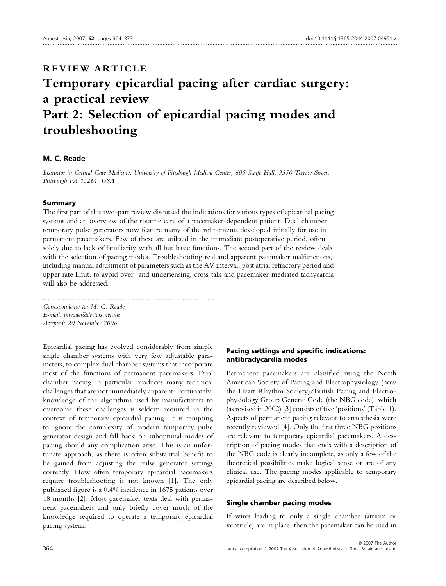# REVIEW ARTICLE Temporary epicardial pacing after cardiac surgery: a practical review Part 2: Selection of epicardial pacing modes and troubleshooting

# M. C. Reade

Instructor in Critical Care Medicine, University of Pittsburgh Medical Center, 605 Scaife Hall, 3550 Terrace Street, Pittsburgh PA 15261, USA

### **Summary**

The first part of this two-part review discussed the indications for various types of epicardial pacing systems and an overview of the routine care of a pacemaker-dependent patient. Dual chamber temporary pulse generators now feature many of the refinements developed initially for use in permanent pacemakers. Few of these are utilised in the immediate postoperative period, often solely due to lack of familiarity with all but basic functions. The second part of the review deals with the selection of pacing modes. Troubleshooting real and apparent pacemaker malfunctions, including manual adjustment of parameters such as the AV interval, post atrial refractory period and upper rate limit, to avoid over- and undersensing, cross-talk and pacemaker-mediated tachycardia will also be addressed.

Correspondence to: M. C. Reade E-mail: mreade@doctors.net.uk Accepted: 20 November 2006

Epicardial pacing has evolved considerably from simple single chamber systems with very few adjustable parameters, to complex dual chamber systems that incorporate most of the functions of permanent pacemakers. Dual chamber pacing in particular produces many technical challenges that are not immediately apparent. Fortunately, knowledge of the algorithms used by manufacturers to overcome these challenges is seldom required in the context of temporary epicardial pacing. It is tempting to ignore the complexity of modern temporary pulse generator design and fall back on suboptimal modes of pacing should any complication arise. This is an unfortunate approach, as there is often substantial benefit to be gained from adjusting the pulse generator settings correctly. How often temporary epicardial pacemakers require troubleshooting is not known [1]. The only published figure is a 0.4% incidence in 1675 patients over 18 months [2]. Most pacemaker texts deal with permanent pacemakers and only briefly cover much of the knowledge required to operate a temporary epicardial pacing system.

.......................................................................................................

# Pacing settings and specific indications: antibradycardia modes

Permanent pacemakers are classified using the North American Society of Pacing and Electrophysiology (now the Heart Rhythm Society)/British Pacing and Electrophysiology Group Generic Code (the NBG code), which (as revised in 2002) [3] consists of five 'positions' (Table 1). Aspects of permanent pacing relevant to anaesthesia were recently reviewed [4]. Only the first three NBG positions are relevant to temporary epicardial pacemakers. A description of pacing modes that ends with a description of the NBG code is clearly incomplete, as only a few of the theoretical possibilities make logical sense or are of any clinical use. The pacing modes applicable to temporary epicardial pacing are described below.

### Single chamber pacing modes

If wires leading to only a single chamber (atrium or ventricle) are in place, then the pacemaker can be used in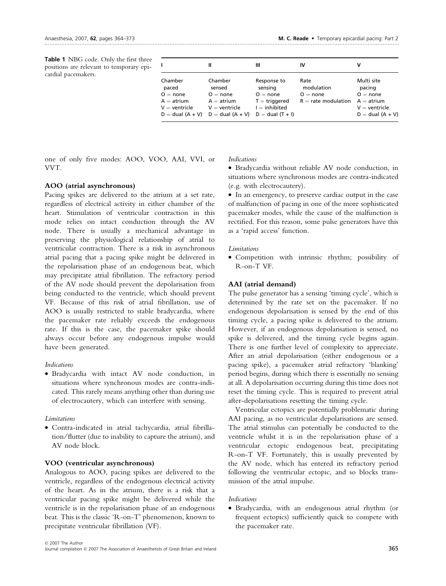Anaesthesia, 2007, 62, pages 364–373 and the state of the state of the state of the M. C. Reade . Temporary epicardial pacing: Part 2

Table 1 NBG code. Only the first three positions are relevant to temporary epicardial pacemakers.

|                                                                                                | Ш                                                                                               | ш                                                                                                              | IV                                                        | v                                                                                                  |
|------------------------------------------------------------------------------------------------|-------------------------------------------------------------------------------------------------|----------------------------------------------------------------------------------------------------------------|-----------------------------------------------------------|----------------------------------------------------------------------------------------------------|
| Chamber<br>paced<br>$O = none$<br>$A =$ atrium<br>$V =$ ventricle<br>$D = \text{dual} (A + V)$ | Chamber<br>sensed<br>$O = none$<br>$A =$ atrium<br>$V =$ ventricle<br>$D = \text{dual} (A + V)$ | Response to<br>sensing<br>$Q = none$<br>$T = \text{triggered}$<br>$I =$ inhibited<br>$D = \text{dual} (T + I)$ | Rate<br>modulation<br>$O = none$<br>$R =$ rate modulation | Multi site<br>pacing<br>$O = none$<br>$A =$ atrium<br>$V =$ ventricle<br>$D = \text{dual} (A + V)$ |

one of only five modes: AOO, VOO, AAI, VVI, or VVT.

# AOO (atrial asynchronous)

Pacing spikes are delivered to the atrium at a set rate, regardless of electrical activity in either chamber of the heart. Stimulation of ventricular contraction in this mode relies on intact conduction through the AV node. There is usually a mechanical advantage in preserving the physiological relationship of atrial to ventricular contraction. There is a risk in asynchronous atrial pacing that a pacing spike might be delivered in the repolarisation phase of an endogenous beat, which may precipitate atrial fibrillation. The refractory period of the AV node should prevent the depolarisation from being conducted to the ventricle, which should prevent VF. Because of this risk of atrial fibrillation, use of AOO is usually restricted to stable bradycardia, where the pacemaker rate reliably exceeds the endogenous rate. If this is the case, the pacemaker spike should always occur before any endogenous impulse would have been generated.

### Indications

• Bradycardia with intact AV node conduction, in situations where synchronous modes are contra-indicated. This rarely means anything other than during use of electrocautery, which can interfere with sensing.

#### **Limitations**

• Contra-indicated in atrial tachycardia, atrial fibrillation ⁄ flutter (due to inability to capture the atrium), and AV node block.

### VOO (ventricular asynchronous)

Analogous to AOO, pacing spikes are delivered to the ventricle, regardless of the endogenous electrical activity of the heart. As in the atrium, there is a risk that a ventricular pacing spike might be delivered while the ventricle is in the repolarisation phase of an endogenous beat. This is the classic 'R-on-T' phenomenon, known to precipitate ventricular fibrillation (VF).

#### Indications

• Bradycardia without reliable AV node conduction, in situations where synchronous modes are contra-indicated (e.g. with electrocautery).

• In an emergency, to preserve cardiac output in the case of malfunction of pacing in one of the more sophisticated pacemaker modes, while the cause of the malfunction is rectified. For this reason, some pulse generators have this as a 'rapid access' function.

#### Limitations

• Competition with intrinsic rhythm; possibility of R-on-T VF.

### AAI (atrial demand)

The pulse generator has a sensing 'timing cycle', which is determined by the rate set on the pacemaker. If no endogenous depolarisation is sensed by the end of this timing cycle, a pacing spike is delivered to the atrium. However, if an endogenous depolarisation is sensed, no spike is delivered, and the timing cycle begins again. There is one further level of complexity to appreciate. After an atrial depolarisation (either endogenous or a pacing spike), a pacemaker atrial refractory 'blanking' period begins, during which there is essentially no sensing at all. A depolarisation occurring during this time does not reset the timing cycle. This is required to prevent atrial after-depolarisations resetting the timing cycle.

Ventricular ectopics are potentially problematic during AAI pacing, as no ventricular depolarisations are sensed. The atrial stimulus can potentially be conducted to the ventricle whilst it is in the repolarisation phase of a ventricular ectopic endogenous beat, precipitating R-on-T VF. Fortunately, this is usually prevented by the AV node, which has entered its refractory period following the ventricular ectopic, and so blocks transmission of the atrial impulse.

# Indications

• Bradycardia, with an endogenous atrial rhythm (or frequent ectopics) sufficiently quick to compete with the pacemaker rate.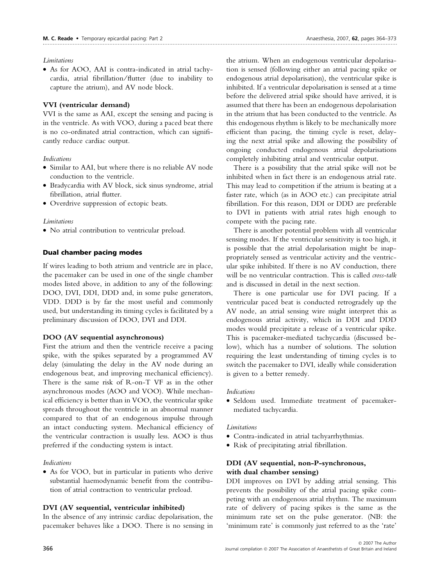#### **Limitations**

• As for AOO, AAI is contra-indicated in atrial tachycardia, atrial fibrillation ⁄ flutter (due to inability to capture the atrium), and AV node block.

### VVI (ventricular demand)

VVI is the same as AAI, except the sensing and pacing is in the ventricle. As with VOO, during a paced beat there is no co-ordinated atrial contraction, which can significantly reduce cardiac output.

# Indications

- Similar to AAI, but where there is no reliable AV node conduction to the ventricle.
- Bradycardia with AV block, sick sinus syndrome, atrial fibrillation, atrial flutter.
- Overdrive suppression of ectopic beats.

## Limitations

• No atrial contribution to ventricular preload.

### Dual chamber pacing modes

If wires leading to both atrium and ventricle are in place, the pacemaker can be used in one of the single chamber modes listed above, in addition to any of the following: DOO, DVI, DDI, DDD and, in some pulse generators, VDD. DDD is by far the most useful and commonly used, but understanding its timing cycles is facilitated by a preliminary discussion of DOO, DVI and DDI.

### DOO (AV sequential asynchronous)

First the atrium and then the ventricle receive a pacing spike, with the spikes separated by a programmed AV delay (simulating the delay in the AV node during an endogenous beat, and improving mechanical efficiency). There is the same risk of R-on-T VF as in the other asynchronous modes (AOO and VOO). While mechanical efficiency is better than in VOO, the ventricular spike spreads throughout the ventricle in an abnormal manner compared to that of an endogenous impulse through an intact conducting system. Mechanical efficiency of the ventricular contraction is usually less. AOO is thus preferred if the conducting system is intact.

### Indications

• As for VOO, but in particular in patients who derive substantial haemodynamic benefit from the contribution of atrial contraction to ventricular preload.

### DVI (AV sequential, ventricular inhibited)

In the absence of any intrinsic cardiac depolarisation, the pacemaker behaves like a DOO. There is no sensing in the atrium. When an endogenous ventricular depolarisation is sensed (following either an atrial pacing spike or endogenous atrial depolarisation), the ventricular spike is inhibited. If a ventricular depolarisation is sensed at a time before the delivered atrial spike should have arrived, it is assumed that there has been an endogenous depolarisation in the atrium that has been conducted to the ventricle. As this endogenous rhythm is likely to be mechanically more efficient than pacing, the timing cycle is reset, delaying the next atrial spike and allowing the possibility of ongoing conducted endogenous atrial depolarisations completely inhibiting atrial and ventricular output.

There is a possibility that the atrial spike will not be inhibited when in fact there is an endogenous atrial rate. This may lead to competition if the atrium is beating at a faster rate, which (as in AOO etc.) can precipitate atrial fibrillation. For this reason, DDI or DDD are preferable to DVI in patients with atrial rates high enough to compete with the pacing rate.

There is another potential problem with all ventricular sensing modes. If the ventricular sensitivity is too high, it is possible that the atrial depolarisation might be inappropriately sensed as ventricular activity and the ventricular spike inhibited. If there is no AV conduction, there will be no ventricular contraction. This is called *cross-talk* and is discussed in detail in the next section.

There is one particular use for DVI pacing. If a ventricular paced beat is conducted retrogradely up the AV node, an atrial sensing wire might interpret this as endogenous atrial activity, which in DDI and DDD modes would precipitate a release of a ventricular spike. This is pacemaker-mediated tachycardia (discussed below), which has a number of solutions. The solution requiring the least understanding of timing cycles is to switch the pacemaker to DVI, ideally while consideration is given to a better remedy.

#### Indications

• Seldom used. Immediate treatment of pacemakermediated tachycardia.

### Limitations

- Contra-indicated in atrial tachyarrhythmias.
- Risk of precipitating atrial fibrillation.

# DDI (AV sequential, non-P-synchronous, with dual chamber sensing)

DDI improves on DVI by adding atrial sensing. This prevents the possibility of the atrial pacing spike competing with an endogenous atrial rhythm. The maximum rate of delivery of pacing spikes is the same as the minimum rate set on the pulse generator. (NB: the 'minimum rate' is commonly just referred to as the 'rate'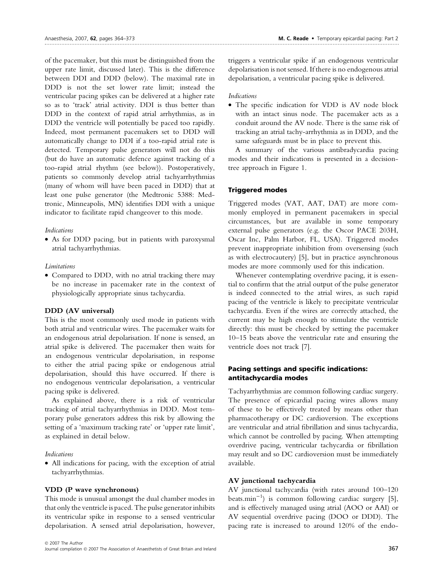of the pacemaker, but this must be distinguished from the upper rate limit, discussed later). This is the difference between DDI and DDD (below). The maximal rate in DDD is not the set lower rate limit; instead the ventricular pacing spikes can be delivered at a higher rate so as to 'track' atrial activity. DDI is thus better than DDD in the context of rapid atrial arrhythmias, as in DDD the ventricle will potentially be paced too rapidly. Indeed, most permanent pacemakers set to DDD will automatically change to DDI if a too-rapid atrial rate is detected. Temporary pulse generators will not do this (but do have an automatic defence against tracking of a too-rapid atrial rhythm (see below)). Postoperatively, patients so commonly develop atrial tachyarrhythmias (many of whom will have been paced in DDD) that at least one pulse generator (the Medtronic 5388: Medtronic, Minneapolis, MN) identifies DDI with a unique indicator to facilitate rapid changeover to this mode.

### Indications

• As for DDD pacing, but in patients with paroxysmal atrial tachyarrhythmias.

### Limitations

• Compared to DDD, with no atrial tracking there may be no increase in pacemaker rate in the context of physiologically appropriate sinus tachycardia.

### DDD (AV universal)

This is the most commonly used mode in patients with both atrial and ventricular wires. The pacemaker waits for an endogenous atrial depolarisation. If none is sensed, an atrial spike is delivered. The pacemaker then waits for an endogenous ventricular depolarisation, in response to either the atrial pacing spike or endogenous atrial depolarisation, should this have occurred. If there is no endogenous ventricular depolarisation, a ventricular pacing spike is delivered.

As explained above, there is a risk of ventricular tracking of atrial tachyarrhythmias in DDD. Most temporary pulse generators address this risk by allowing the setting of a 'maximum tracking rate' or 'upper rate limit', as explained in detail below.

# Indications

• All indications for pacing, with the exception of atrial tachyarrhythmias.

#### VDD (P wave synchronous)

This mode is unusual amongst the dual chamber modes in that only the ventricle is paced. The pulse generator inhibits its ventricular spike in response to a sensed ventricular depolarisation. A sensed atrial depolarisation, however, triggers a ventricular spike if an endogenous ventricular depolarisation is not sensed. If there is no endogenous atrial depolarisation, a ventricular pacing spike is delivered.

### Indications

• The specific indication for VDD is AV node block with an intact sinus node. The pacemaker acts as a conduit around the AV node. There is the same risk of tracking an atrial tachy-arrhythmia as in DDD, and the same safeguards must be in place to prevent this.

A summary of the various antibradycardia pacing modes and their indications is presented in a decisiontree approach in Figure 1.

### Triggered modes

Triggered modes (VAT, AAT, DAT) are more commonly employed in permanent pacemakers in special circumstances, but are available in some temporary external pulse generators (e.g. the Oscor PACE 203H, Oscar Inc, Palm Harbor, FL, USA). Triggered modes prevent inappropriate inhibition from oversensing (such as with electrocautery) [5], but in practice asynchronous modes are more commonly used for this indication.

Whenever contemplating overdrive pacing, it is essential to confirm that the atrial output of the pulse generator is indeed connected to the atrial wires, as such rapid pacing of the ventricle is likely to precipitate ventricular tachycardia. Even if the wires are correctly attached, the current may be high enough to stimulate the ventricle directly: this must be checked by setting the pacemaker 10–15 beats above the ventricular rate and ensuring the ventricle does not track [7].

# Pacing settings and specific indications: antitachycardia modes

Tachyarrhythmias are common following cardiac surgery. The presence of epicardial pacing wires allows many of these to be effectively treated by means other than pharmacotherapy or DC cardioversion. The exceptions are ventricular and atrial fibrillation and sinus tachycardia, which cannot be controlled by pacing. When attempting overdrive pacing, ventricular tachycardia or fibrillation may result and so DC cardioversion must be immediately available.

# AV junctional tachycardia

AV junctional tachycardia (with rates around 100–120 beats.min<sup>-1</sup>) is common following cardiac surgery [5], and is effectively managed using atrial (AOO or AAI) or AV sequential overdrive pacing (DOO or DDD). The pacing rate is increased to around 120% of the endo-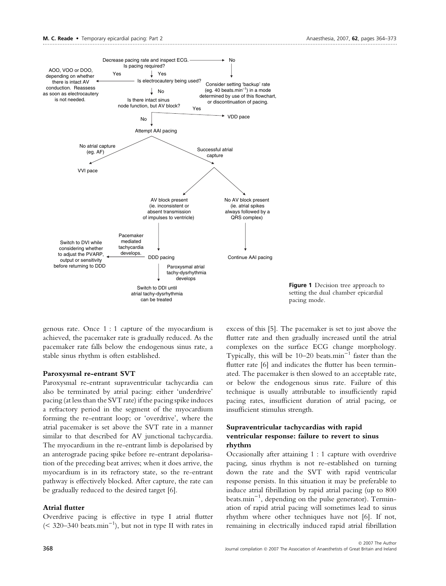



genous rate. Once 1 : 1 capture of the myocardium is achieved, the pacemaker rate is gradually reduced. As the pacemaker rate falls below the endogenous sinus rate, a stable sinus rhythm is often established.

# Paroxysmal re-entrant SVT

Paroxysmal re-entrant supraventricular tachycardia can also be terminated by atrial pacing: either 'underdrive' pacing (at less than the SVT rate) if the pacing spike induces a refractory period in the segment of the myocardium forming the re-entrant loop; or 'overdrive', where the atrial pacemaker is set above the SVT rate in a manner similar to that described for AV junctional tachycardia. The myocardium in the re-entrant limb is depolarised by an anterograde pacing spike before re-entrant depolarisation of the preceding beat arrives; when it does arrive, the myocardium is in its refractory state, so the re-entrant pathway is effectively blocked. After capture, the rate can be gradually reduced to the desired target [6].

# Atrial flutter

Overdrive pacing is effective in type I atrial flutter  $\approx$  320–340 beats.min<sup>-1</sup>), but not in type II with rates in

excess of this [5]. The pacemaker is set to just above the flutter rate and then gradually increased until the atrial complexes on the surface ECG change morphology. Typically, this will be  $10-20$  beats.min<sup>-1</sup> faster than the flutter rate [6] and indicates the flutter has been terminated. The pacemaker is then slowed to an acceptable rate, or below the endogenous sinus rate. Failure of this technique is usually attributable to insufficiently rapid pacing rates, insufficient duration of atrial pacing, or insufficient stimulus strength.

# Supraventricular tachycardias with rapid ventricular response: failure to revert to sinus rhythm

Occasionally after attaining 1 : 1 capture with overdrive pacing, sinus rhythm is not re-established on turning down the rate and the SVT with rapid ventricular response persists. In this situation it may be preferable to induce atrial fibrillation by rapid atrial pacing (up to 800 beats.min<sup>-1</sup>, depending on the pulse generator). Termination of rapid atrial pacing will sometimes lead to sinus rhythm where other techniques have not [6]. If not, remaining in electrically induced rapid atrial fibrillation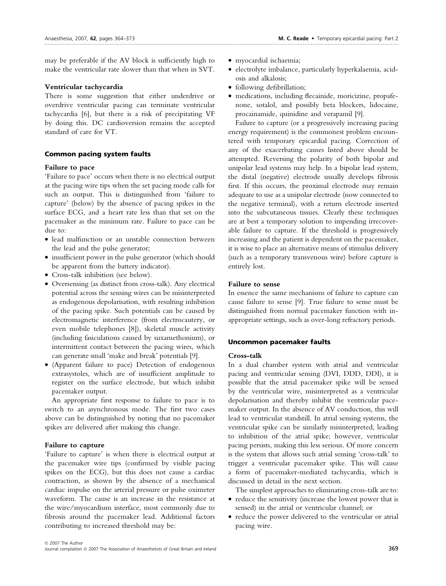may be preferable if the AV block is sufficiently high to make the ventricular rate slower than that when in SVT.

# Ventricular tachycardia

There is some suggestion that either underdrive or overdrive ventricular pacing can terminate ventricular tachycardia [6], but there is a risk of precipitating VF by doing this. DC cardioversion remains the accepted standard of care for VT.

### Common pacing system faults

### Failure to pace

'Failure to pace' occurs when there is no electrical output at the pacing wire tips when the set pacing mode calls for such an output. This is distinguished from 'failure to capture' (below) by the absence of pacing spikes in the surface ECG, and a heart rate less than that set on the pacemaker as the minimum rate. Failure to pace can be due to:

- lead malfunction or an unstable connection between the lead and the pulse generator;
- insufficient power in the pulse generator (which should be apparent from the battery indicator).
- Cross-talk inhibition (see below).
- Oversensing (as distinct from cross-talk). Any electrical potential across the sensing wires can be misinterpreted as endogenous depolarisation, with resulting inhibition of the pacing spike. Such potentials can be caused by electromagnetic interference (from electrocautery, or even mobile telephones [8]), skeletal muscle activity (including fasiculations caused by suxamethonium), or intermittent contact between the pacing wires, which can generate small 'make and break' potentials [9].
- (Apparent failure to pace) Detection of endogenous extrasystoles, which are of insufficient amplitude to register on the surface electrode, but which inhibit pacemaker output.

An appropriate first response to failure to pace is to switch to an asynchronous mode. The first two cases above can be distinguished by noting that no pacemaker spikes are delivered after making this change.

### Failure to capture

'Failure to capture' is when there is electrical output at the pacemaker wire tips (confirmed by visible pacing spikes on the ECG), but this does not cause a cardiac contraction, as shown by the absence of a mechanical cardiac impulse on the arterial pressure or pulse oximeter waveform. The cause is an increase in the resistance at the wire ⁄ myocardium interface, most commonly due to fibrosis around the pacemaker lead. Additional factors contributing to increased threshold may be:

- myocardial ischaemia;
- electrolyte imbalance, particularly hyperkalaemia, acidosis and alkalosis;
- following defibrillation;
- medications, including flecainide, moricizine, propafenone, sotalol, and possibly beta blockers, lidocaine, procainamide, quinidine and verapamil [9].

Failure to capture (or a progressively increasing pacing energy requirement) is the commonest problem encountered with temporary epicardial pacing. Correction of any of the exacerbating causes listed above should be attempted. Reversing the polarity of both bipolar and unipolar lead systems may help. In a bipolar lead system, the distal (negative) electrode usually develops fibrosis first. If this occurs, the proximal electrode may remain adequate to use as a unipolar electrode (now connected to the negative terminal), with a return electrode inserted into the subcutaneous tissues. Clearly these techniques are at best a temporary solution to impending irrecoverable failure to capture. If the threshold is progressively increasing and the patient is dependent on the pacemaker, it is wise to place an alternative means of stimulus delivery (such as a temporary transvenous wire) before capture is entirely lost.

# Failure to sense

In essence the same mechanisms of failure to capture can cause failure to sense [9]. True failure to sense must be distinguished from normal pacemaker function with inappropriate settings, such as over-long refractory periods.

### Uncommon pacemaker faults

#### Cross-talk

In a dual chamber system with atrial and ventricular pacing and ventricular sensing (DVI, DDD, DDI), it is possible that the atrial pacemaker spike will be sensed by the ventricular wire, misinterpreted as a ventricular depolarisation and thereby inhibit the ventricular pacemaker output. In the absence of AV conduction, this will lead to ventricular standstill. In atrial sensing systems, the ventricular spike can be similarly misinterpreted, leading to inhibition of the atrial spike; however, ventricular pacing persists, making this less serious. Of more concern is the system that allows such atrial sensing 'cross-talk' to trigger a ventricular pacemaker spike. This will cause a form of pacemaker-mediated tachycardia, which is discussed in detail in the next section.

The simplest approaches to eliminating cross-talk are to:

- reduce the sensitivity (increase the lowest power that is sensed) in the atrial or ventricular channel; or
- reduce the power delivered to the ventricular or atrial pacing wire.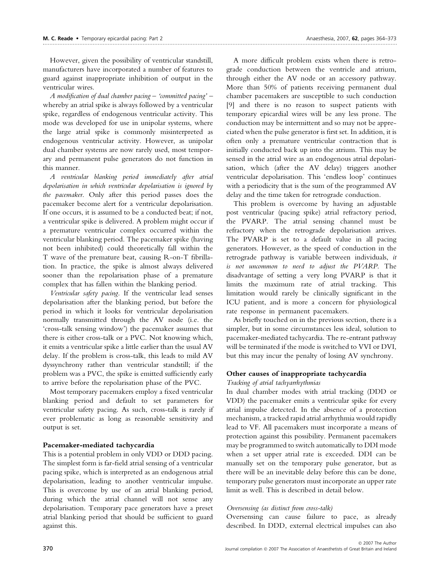However, given the possibility of ventricular standstill, manufacturers have incorporated a number of features to guard against inappropriate inhibition of output in the ventricular wires.

A modification of dual chamber pacing  $-$  'committed pacing'  $$ whereby an atrial spike is always followed by a ventricular spike, regardless of endogenous ventricular activity. This mode was developed for use in unipolar systems, where the large atrial spike is commonly misinterpreted as endogenous ventricular activity. However, as unipolar dual chamber systems are now rarely used, most temporary and permanent pulse generators do not function in this manner.

A ventricular blanking period immediately after atrial depolarisation in which ventricular depolarisation is ignored by the pacemaker. Only after this period passes does the pacemaker become alert for a ventricular depolarisation. If one occurs, it is assumed to be a conducted beat; if not, a ventricular spike is delivered. A problem might occur if a premature ventricular complex occurred within the ventricular blanking period. The pacemaker spike (having not been inhibited) could theoretically fall within the T wave of the premature beat, causing R-on-T fibrillation. In practice, the spike is almost always delivered sooner than the repolarisation phase of a premature complex that has fallen within the blanking period.

Ventricular safety pacing. If the ventricular lead senses depolarisation after the blanking period, but before the period in which it looks for ventricular depolarisation normally transmitted through the AV node (i.e. the 'cross-talk sensing window') the pacemaker assumes that there is either cross-talk or a PVC. Not knowing which, it emits a ventricular spike a little earlier than the usual AV delay. If the problem is cross-talk, this leads to mild AV dyssynchrony rather than ventricular standstill; if the problem was a PVC, the spike is emitted sufficiently early to arrive before the repolarisation phase of the PVC.

Most temporary pacemakers employ a fixed ventricular blanking period and default to set parameters for ventricular safety pacing. As such, cross-talk is rarely if ever problematic as long as reasonable sensitivity and output is set.

### Pacemaker-mediated tachycardia

This is a potential problem in only VDD or DDD pacing. The simplest form is far-field atrial sensing of a ventricular pacing spike, which is interpreted as an endogenous atrial depolarisation, leading to another ventricular impulse. This is overcome by use of an atrial blanking period, during which the atrial channel will not sense any depolarisation. Temporary pace generators have a preset atrial blanking period that should be sufficient to guard against this.

A more difficult problem exists when there is retrograde conduction between the ventricle and atrium, through either the AV node or an accessory pathway. More than 50% of patients receiving permanent dual chamber pacemakers are susceptible to such conduction [9] and there is no reason to suspect patients with temporary epicardial wires will be any less prone. The conduction may be intermittent and so may not be appreciated when the pulse generator is first set. In addition, it is often only a premature ventricular contraction that is initially conducted back up into the atrium. This may be sensed in the atrial wire as an endogenous atrial depolarisation, which (after the AV delay) triggers another ventricular depolarisation. This 'endless loop' continues with a periodicity that is the sum of the programmed AV delay and the time taken for retrograde conduction.

This problem is overcome by having an adjustable post ventricular (pacing spike) atrial refractory period, the PVARP. The atrial sensing channel must be refractory when the retrograde depolarisation arrives. The PVARP is set to a default value in all pacing generators. However, as the speed of conduction in the retrograde pathway is variable between individuals, it is not uncommon to need to adjust the PVARP. The disadvantage of setting a very long PVARP is that it limits the maximum rate of atrial tracking. This limitation would rarely be clinically significant in the ICU patient, and is more a concern for physiological rate response in permanent pacemakers.

As briefly touched on in the previous section, there is a simpler, but in some circumstances less ideal, solution to pacemaker-mediated tachycardia. The re-entrant pathway will be terminated if the mode is switched to VVI or DVI, but this may incur the penalty of losing AV synchrony.

### Other causes of inappropriate tachycardia

### Tracking of atrial tachyarrhythmias

In dual chamber modes with atrial tracking (DDD or VDD) the pacemaker emits a ventricular spike for every atrial impulse detected. In the absence of a protection mechanism, a tracked rapid atrial arrhythmia would rapidly lead to VF. All pacemakers must incorporate a means of protection against this possibility. Permanent pacemakers may be programmed to switch automatically to DDI mode when a set upper atrial rate is exceeded. DDI can be manually set on the temporary pulse generator, but as there will be an inevitable delay before this can be done, temporary pulse generators must incorporate an upper rate limit as well. This is described in detail below.

# Oversensing (as distinct from cross-talk)

Oversensing can cause failure to pace, as already described. In DDD, external electrical impulses can also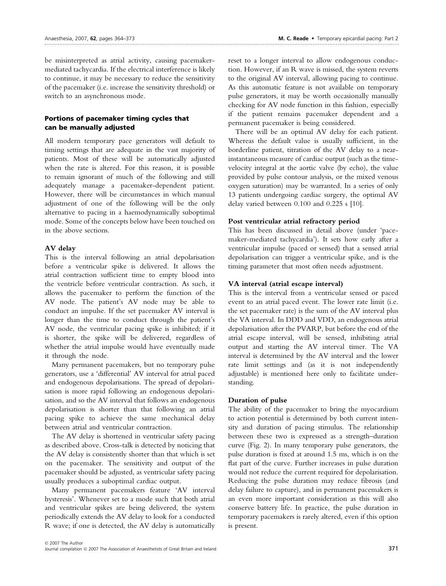be misinterpreted as atrial activity, causing pacemakermediated tachycardia. If the electrical interference is likely to continue, it may be necessary to reduce the sensitivity of the pacemaker (i.e. increase the sensitivity threshold) or switch to an asynchronous mode.

# Portions of pacemaker timing cycles that can be manually adjusted

All modern temporary pace generators will default to timing settings that are adequate in the vast majority of patients. Most of these will be automatically adjusted when the rate is altered. For this reason, it is possible to remain ignorant of much of the following and still adequately manage a pacemaker-dependent patient. However, there will be circumstances in which manual adjustment of one of the following will be the only alternative to pacing in a haemodynamically suboptimal mode. Some of the concepts below have been touched on in the above sections.

### AV delay

This is the interval following an atrial depolarisation before a ventricular spike is delivered. It allows the atrial contraction sufficient time to empty blood into the ventricle before ventricular contraction. As such, it allows the pacemaker to perform the function of the AV node. The patient's AV node may be able to conduct an impulse. If the set pacemaker AV interval is longer than the time to conduct through the patient's AV node, the ventricular pacing spike is inhibited; if it is shorter, the spike will be delivered, regardless of whether the atrial impulse would have eventually made it through the node.

Many permanent pacemakers, but no temporary pulse generators, use a 'differential' AV interval for atrial paced and endogenous depolarisations. The spread of depolarisation is more rapid following an endogenous depolarisation, and so the AV interval that follows an endogenous depolarisation is shorter than that following an atrial pacing spike to achieve the same mechanical delay between atrial and ventricular contraction.

The AV delay is shortened in ventricular safety pacing as described above. Cross-talk is detected by noticing that the AV delay is consistently shorter than that which is set on the pacemaker. The sensitivity and output of the pacemaker should be adjusted, as ventricular safety pacing usually produces a suboptimal cardiac output.

Many permanent pacemakers feature 'AV interval hysteresis'. Whenever set to a mode such that both atrial and ventricular spikes are being delivered, the system periodically extends the AV delay to look for a conducted R wave; if one is detected, the AV delay is automatically reset to a longer interval to allow endogenous conduction. However, if an R wave is missed, the system reverts to the original AV interval, allowing pacing to continue. As this automatic feature is not available on temporary pulse generators, it may be worth occasionally manually checking for AV node function in this fashion, especially if the patient remains pacemaker dependent and a permanent pacemaker is being considered.

There will be an optimal AV delay for each patient. Whereas the default value is usually sufficient, in the borderline patient, titration of the AV delay to a nearinstantaneous measure of cardiac output (such as the timevelocity integral at the aortic valve (by echo), the value provided by pulse contour analysis, or the mixed venous oxygen saturation) may be warranted. In a series of only 13 patients undergoing cardiac surgery, the optimal AV delay varied between 0.100 and 0.225 s [10].

# Post ventricular atrial refractory period

This has been discussed in detail above (under 'pacemaker-mediated tachycardia'). It sets how early after a ventricular impulse (paced or sensed) that a sensed atrial depolarisation can trigger a ventricular spike, and is the timing parameter that most often needs adjustment.

# VA interval (atrial escape interval)

This is the interval from a ventricular sensed or paced event to an atrial paced event. The lower rate limit (i.e. the set pacemaker rate) is the sum of the AV interval plus the VA interval. In DDD and VDD, an endogenous atrial depolarisation after the PVARP, but before the end of the atrial escape interval, will be sensed, inhibiting atrial output and starting the AV interval timer. The VA interval is determined by the AV interval and the lower rate limit settings and (as it is not independently adjustable) is mentioned here only to facilitate understanding.

#### Duration of pulse

The ability of the pacemaker to bring the myocardium to action potential is determined by both current intensity and duration of pacing stimulus. The relationship between these two is expressed as a strength–duration curve (Fig. 2). In many temporary pulse generators, the pulse duration is fixed at around 1.5 ms, which is on the flat part of the curve. Further increases in pulse duration would not reduce the current required for depolarisation. Reducing the pulse duration may reduce fibrosis (and delay failure to capture), and in permanent pacemakers is an even more important consideration as this will also conserve battery life. In practice, the pulse duration in temporary pacemakers is rarely altered, even if this option is present.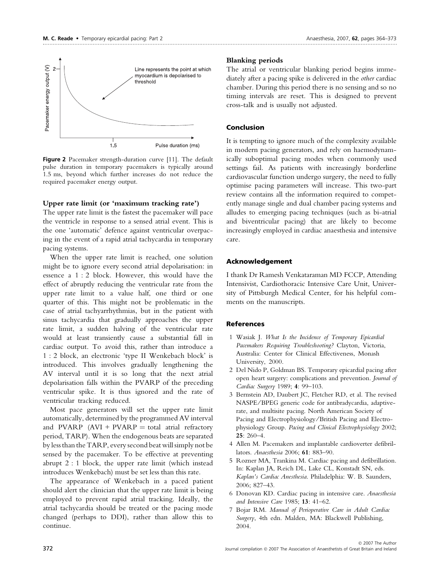

Figure 2 Pacemaker strength-duration curve [11]. The default pulse duration in temporary pacemakers is typically around 1.5 ms, beyond which further increases do not reduce the required pacemaker energy output.

### Upper rate limit (or 'maximum tracking rate')

The upper rate limit is the fastest the pacemaker will pace the ventricle in response to a sensed atrial event. This is the one 'automatic' defence against ventricular overpacing in the event of a rapid atrial tachycardia in temporary pacing systems.

When the upper rate limit is reached, one solution might be to ignore every second atrial depolarisation: in essence a 1 : 2 block. However, this would have the effect of abruptly reducing the ventricular rate from the upper rate limit to a value half, one third or one quarter of this. This might not be problematic in the case of atrial tachyarrhythmias, but in the patient with sinus tachycardia that gradually approaches the upper rate limit, a sudden halving of the ventricular rate would at least transiently cause a substantial fall in cardiac output. To avoid this, rather than introduce a 1 : 2 block, an electronic 'type II Wenkebach block' is introduced. This involves gradually lengthening the AV interval until it is so long that the next atrial depolarisation falls within the PVARP of the preceding ventricular spike. It is thus ignored and the rate of ventricular tracking reduced.

Most pace generators will set the upper rate limit automatically, determined by the programmed AV interval and PVARP  $(AVI + PVARP = total atrial refractory)$ period, TARP). When the endogenous beats are separated by less than the TARP, every second beat will simply not be sensed by the pacemaker. To be effective at preventing abrupt 2 : 1 block, the upper rate limit (which instead introduces Wenkebach) must be set less than this rate.

The appearance of Wenkebach in a paced patient should alert the clinician that the upper rate limit is being employed to prevent rapid atrial tracking. Ideally, the atrial tachycardia should be treated or the pacing mode changed (perhaps to DDI), rather than allow this to continue.

#### Blanking periods

The atrial or ventricular blanking period begins immediately after a pacing spike is delivered in the other cardiac chamber. During this period there is no sensing and so no timing intervals are reset. This is designed to prevent cross-talk and is usually not adjusted.

# Conclusion

It is tempting to ignore much of the complexity available in modern pacing generators, and rely on haemodynamically suboptimal pacing modes when commonly used settings fail. As patients with increasingly borderline cardiovascular function undergo surgery, the need to fully optimise pacing parameters will increase. This two-part review contains all the information required to competently manage single and dual chamber pacing systems and alludes to emerging pacing techniques (such as bi-atrial and biventricular pacing) that are likely to become increasingly employed in cardiac anaesthesia and intensive care.

#### Acknowledgement

I thank Dr Ramesh Venkataraman MD FCCP, Attending Intensivist, Cardiothoracic Intensive Care Unit, University of Pittsburgh Medical Center, for his helpful comments on the manuscripts.

#### References

- 1 Wasiak J. What Is the Incidence of Temporary Epicardial Pacemakers Requiring Troubleshooting? Clayton, Victoria, Australia: Center for Clinical Effectiveness, Monash University, 2000.
- 2 Del Nido P, Goldman BS. Temporary epicardial pacing after open heart surgery: complications and prevention. Journal of Cardiac Surgery 1989; 4: 99–103.
- 3 Bernstein AD, Daubert JC, Fletcher RD, et al. The revised NASPE ⁄ BPEG generic code for antibradycardia, adaptiverate, and multisite pacing. North American Society of Pacing and Electrophysiology ⁄ British Pacing and Electrophysiology Group. Pacing and Clinical Electrophysiology 2002; 25: 260–4.
- 4 Allen M. Pacemakers and implantable cardioverter defibrillators. Anaesthesia 2006; 61: 883–90.
- 5 Rozner MA, Trankina M. Cardiac pacing and defibrillation. In: Kaplan JA, Reich DL, Lake CL, Konstadt SN, eds. Kaplan's Cardiac Anesthesia. Philadelphia: W. B. Saunders, 2006; 827–43.
- 6 Donovan KD. Cardiac pacing in intensive care. Anaesthesia and Intensive Care 1985; 13: 41–62.
- 7 Bojar RM. Manual of Perioperative Care in Adult Cardiac Surgery, 4th edn. Malden, MA: Blackwell Publishing, 2004.